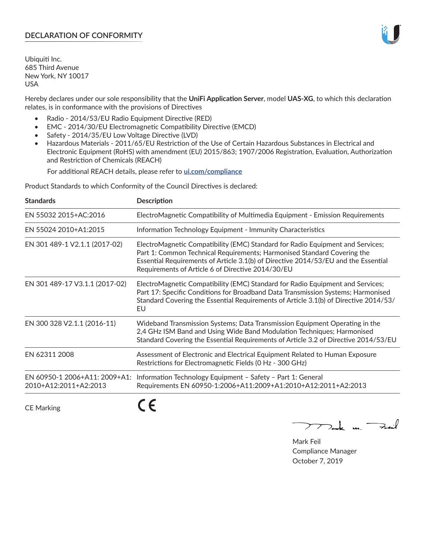# **DECLARATION OF CONFORMITY**

Ubiquiti Inc. 685 Third Avenue New York, NY 10017 USA

Hereby declares under our sole responsibility that the **UniFi Application Server**, model **UAS-XG**, to which this declaration relates, is in conformance with the provisions of Directives

- Radio 2014/53/EU Radio Equipment Directive (RED)
- EMC 2014/30/EU Electromagnetic Compatibility Directive (EMCD)
- Safety 2014/35/EU Low Voltage Directive (LVD)
- Hazardous Materials 2011/65/EU Restriction of the Use of Certain Hazardous Substances in Electrical and Electronic Equipment (RoHS) with amendment (EU) 2015/863; 1907/2006 Registration, Evaluation, Authorization and Restriction of Chemicals (REACH)

For additional REACH details, please refer to **[ui.com/compliance](https://dl.ui.com/compliance/REACH_Compliance_Declaration.pdf)**

Product Standards to which Conformity of the Council Directives is declared:

| <b>Standards</b>                                       | <b>Description</b>                                                                                                                                                                                                                                                                                   |
|--------------------------------------------------------|------------------------------------------------------------------------------------------------------------------------------------------------------------------------------------------------------------------------------------------------------------------------------------------------------|
| EN 55032 2015+AC:2016                                  | ElectroMagnetic Compatibility of Multimedia Equipment - Emission Requirements                                                                                                                                                                                                                        |
| EN 55024 2010+A1:2015                                  | Information Technology Equipment - Immunity Characteristics                                                                                                                                                                                                                                          |
| EN 301 489-1 V2.1.1 (2017-02)                          | ElectroMagnetic Compatibility (EMC) Standard for Radio Equipment and Services;<br>Part 1: Common Technical Requirements; Harmonised Standard Covering the<br>Essential Requirements of Article 3.1(b) of Directive 2014/53/EU and the Essential<br>Requirements of Article 6 of Directive 2014/30/EU |
| EN 301 489-17 V3.1.1 (2017-02)                         | ElectroMagnetic Compatibility (EMC) Standard for Radio Equipment and Services;<br>Part 17: Specific Conditions for Broadband Data Transmission Systems; Harmonised<br>Standard Covering the Essential Requirements of Article 3.1(b) of Directive 2014/53/<br>EU                                     |
| EN 300 328 V2.1.1 (2016-11)                            | Wideband Transmission Systems; Data Transmission Equipment Operating in the<br>2,4 GHz ISM Band and Using Wide Band Modulation Techniques; Harmonised<br>Standard Covering the Essential Requirements of Article 3.2 of Directive 2014/53/EU                                                         |
| EN 62311 2008                                          | Assessment of Electronic and Electrical Equipment Related to Human Exposure<br>Restrictions for Electromagnetic Fields (0 Hz - 300 GHz)                                                                                                                                                              |
| EN 60950-1 2006+A11: 2009+A1:<br>2010+A12:2011+A2:2013 | Information Technology Equipment - Safety - Part 1: General<br>Requirements EN 60950-1:2006+A11:2009+A1:2010+A12:2011+A2:2013                                                                                                                                                                        |
|                                                        |                                                                                                                                                                                                                                                                                                      |

CE Marking

CE

 $\nabla$ ock un  $\rightarrow$ cil  $\mathop{\sum\mathrm{ }}$ 

Mark Feil Compliance Manager October 7, 2019

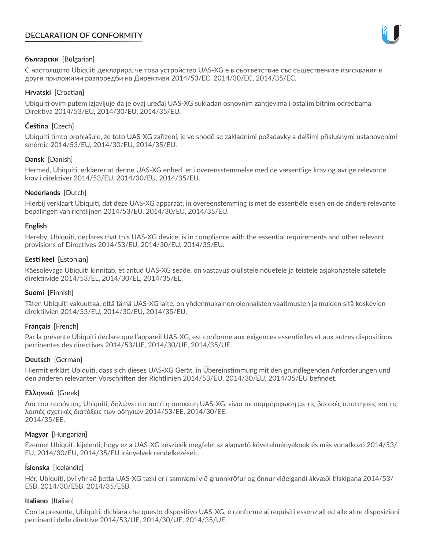# **DECLARATION OF CONFORMITY**



# **български** [Bulgarian]

С настоящото Ubiquiti декларира, че това устройство UAS-XG е в съответствие със съществените изисквания и други приложими разпоредби на Директиви 2014/53/EC, 2014/30/ЕС, 2014/35/ЕС.

## **Hrvatski** [Croatian]

Ubiquiti ovim putem izjavljuje da je ovaj uređaj UAS-XG sukladan osnovnim zahtjevima i ostalim bitnim odredbama Direktiva 2014/53/EU, 2014/30/EU, 2014/35/EU.

# **Čeština** [Czech]

Ubiquiti tímto prohlašuje, že toto UAS-XG zařízení, je ve shodě se základními požadavky a dalšími příslušnými ustanoveními směrnic 2014/53/EU, 2014/30/EU, 2014/35/EU.

# **Dansk** [Danish]

Hermed, Ubiquiti, erklærer at denne UAS-XG enhed, er i overensstemmelse med de væsentlige krav og øvrige relevante krav i direktiver 2014/53/EU, 2014/30/EU, 2014/35/EU.

# **Nederlands** [Dutch]

Hierbij verklaart Ubiquiti, dat deze UAS-XG apparaat, in overeenstemming is met de essentiële eisen en de andere relevante bepalingen van richtlijnen 2014/53/EU, 2014/30/EU, 2014/35/EU.

## **English**

Hereby, Ubiquiti, declares that this UAS-XG device, is in compliance with the essential requirements and other relevant provisions of Directives 2014/53/EU, 2014/30/EU, 2014/35/EU.

# **Eesti keel** [Estonian]

Käesolevaga Ubiquiti kinnitab, et antud UAS-XG seade, on vastavus olulistele nõuetele ja teistele asjakohastele sätetele direktiivide 2014/53/EL, 2014/30/EL, 2014/35/EL.

## **Suomi** [Finnish]

Täten Ubiquiti vakuuttaa, että tämä UAS-XG laite, on yhdenmukainen olennaisten vaatimusten ja muiden sitä koskevien direktiivien 2014/53/EU, 2014/30/EU, 2014/35/EU.

## **Français** [French]

Par la présente Ubiquiti déclare que l'appareil UAS-XG, est conforme aux exigences essentielles et aux autres dispositions pertinentes des directives 2014/53/UE, 2014/30/UE, 2014/35/UE.

## **Deutsch** [German]

Hiermit erklärt Ubiquiti, dass sich dieses UAS-XG Gerät, in Übereinstimmung mit den grundlegenden Anforderungen und den anderen relevanten Vorschriften der Richtlinien 2014/53/EU, 2014/30/EU, 2014/35/EU befindet.

## **Ελληνικά** [Greek]

Δια του παρόντος, Ubiquiti, δηλώνει ότι αυτή η συσκευή UAS-XG, είναι σε συμμόρφωση με τις βασικές απαιτήσεις και τις λοιπές σχετικές διατάξεις των οδηγιών 2014/53/EE, 2014/30/EE, 2014/35/EE.

## **Magyar** [Hungarian]

Ezennel Ubiquiti kijelenti, hogy ez a UAS-XG készülék megfelel az alapvető követelményeknek és más vonatkozó 2014/53/ EU, 2014/30/EU, 2014/35/EU irányelvek rendelkezéseit.

## **Íslenska** [Icelandic]

Hér, Ubiquiti, því yfir að þetta UAS-XG tæki er í samræmi við grunnkröfur og önnur viðeigandi ákvæði tilskipana 2014/53/ ESB, 2014/30/ESB, 2014/35/ESB.

## **Italiano** [Italian]

Con la presente, Ubiquiti, dichiara che questo dispositivo UAS-XG, è conforme ai requisiti essenziali ed alle altre disposizioni pertinenti delle direttive 2014/53/UE, 2014/30/UE, 2014/35/UE.